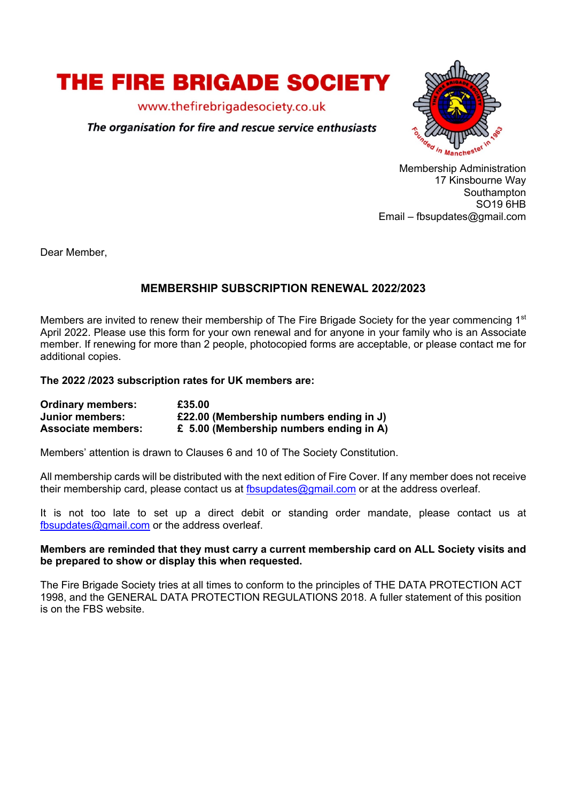

www.thefirebrigadesociety.co.uk

The organisation for fire and rescue service enthusiasts



Membership Administration 17 Kinsbourne Way Southampton SO19 6HB Email – fbsupdates@gmail.com

Dear Member,

# **MEMBERSHIP SUBSCRIPTION RENEWAL 2022/2023**

Members are invited to renew their membership of The Fire Brigade Society for the year commencing 1<sup>st</sup> April 2022. Please use this form for your own renewal and for anyone in your family who is an Associate member. If renewing for more than 2 people, photocopied forms are acceptable, or please contact me for additional copies.

### **The 2022 /2023 subscription rates for UK members are:**

| <b>Ordinary members:</b>  | £35.00                                  |
|---------------------------|-----------------------------------------|
| Junior members:           | £22.00 (Membership numbers ending in J) |
| <b>Associate members:</b> | £ 5.00 (Membership numbers ending in A) |

Members' attention is drawn to Clauses 6 and 10 of The Society Constitution.

All membership cards will be distributed with the next edition of Fire Cover. If any member does not receive their membership card, please contact us at  $f_{\text{bsub}}$  at  $g_{\text{quad}}$ .com or at the address overleaf.

It is not too late to set up a direct debit or standing order mandate, please contact us at fbsupdates@gmail.com or the address overleaf.

### **Members are reminded that they must carry a current membership card on ALL Society visits and be prepared to show or display this when requested.**

The Fire Brigade Society tries at all times to conform to the principles of THE DATA PROTECTION ACT 1998, and the GENERAL DATA PROTECTION REGULATIONS 2018. A fuller statement of this position is on the FBS website.